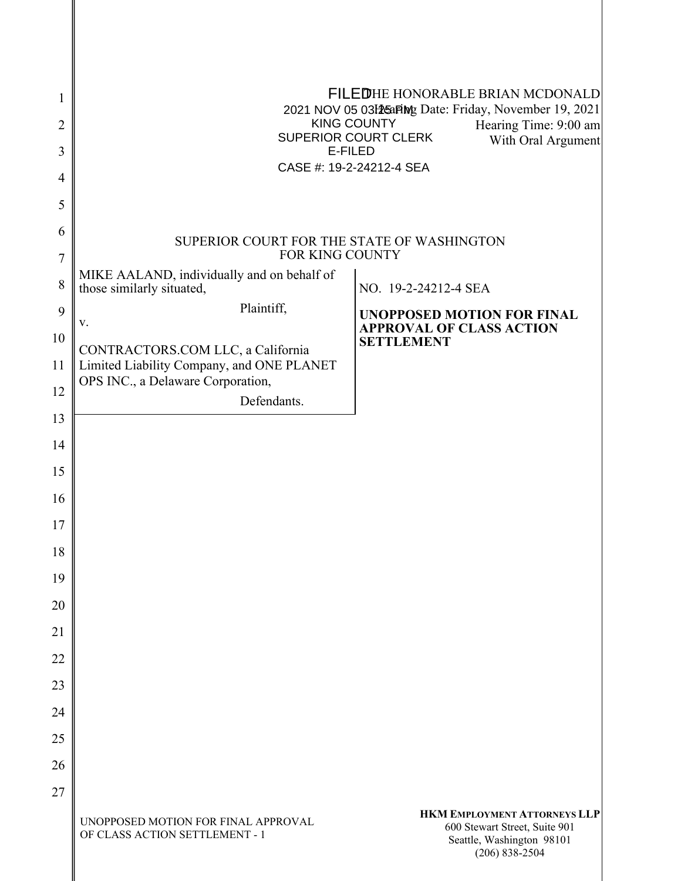| 1<br>2<br>3<br>4<br>5 | ØGÖÖHE HONORABLE BRIAN MCDONALD<br>GEGFÁÞUXÁEÍ ÁEHRÉ ÁÚTIg Date: Friday, November 19, 2021<br><b>SOO Õ Á OU WP VŸ</b><br>Hearing Time: 9:00 am<br>ÙWÚÒÜQUÜÁÔUWÜVÁÔŠÒÜS<br>With Oral Argument<br><b>OEZSOO</b><br>ÔŒÙÒÂN ÁFJËJËGEJ GFGËI ÁÙÒŒ |                                                                                                                         |  |
|-----------------------|----------------------------------------------------------------------------------------------------------------------------------------------------------------------------------------------------------------------------------------------|-------------------------------------------------------------------------------------------------------------------------|--|
| 6                     |                                                                                                                                                                                                                                              |                                                                                                                         |  |
| 7                     | SUPERIOR COURT FOR THE STATE OF WASHINGTON<br>FOR KING COUNTY                                                                                                                                                                                |                                                                                                                         |  |
| 8                     | MIKE AALAND, individually and on behalf of<br>those similarly situated,                                                                                                                                                                      | NO. 19-2-24212-4 SEA                                                                                                    |  |
| 9                     | Plaintiff,                                                                                                                                                                                                                                   | <b>UNOPPOSED MOTION FOR FINAL</b>                                                                                       |  |
| 10                    | V.                                                                                                                                                                                                                                           | <b>APPROVAL OF CLASS ACTION</b><br><b>SETTLEMENT</b>                                                                    |  |
| 11                    | CONTRACTORS.COM LLC, a California<br>Limited Liability Company, and ONE PLANET                                                                                                                                                               |                                                                                                                         |  |
| 12                    | OPS INC., a Delaware Corporation,<br>Defendants.                                                                                                                                                                                             |                                                                                                                         |  |
| 13                    |                                                                                                                                                                                                                                              |                                                                                                                         |  |
| 14                    |                                                                                                                                                                                                                                              |                                                                                                                         |  |
| 15                    |                                                                                                                                                                                                                                              |                                                                                                                         |  |
| 16                    |                                                                                                                                                                                                                                              |                                                                                                                         |  |
| 17                    |                                                                                                                                                                                                                                              |                                                                                                                         |  |
| 18                    |                                                                                                                                                                                                                                              |                                                                                                                         |  |
| 19                    |                                                                                                                                                                                                                                              |                                                                                                                         |  |
| 20                    |                                                                                                                                                                                                                                              |                                                                                                                         |  |
| 21                    |                                                                                                                                                                                                                                              |                                                                                                                         |  |
| 22<br>23              |                                                                                                                                                                                                                                              |                                                                                                                         |  |
| 24                    |                                                                                                                                                                                                                                              |                                                                                                                         |  |
| 25                    |                                                                                                                                                                                                                                              |                                                                                                                         |  |
| 26                    |                                                                                                                                                                                                                                              |                                                                                                                         |  |
| 27                    |                                                                                                                                                                                                                                              |                                                                                                                         |  |
|                       | UNOPPOSED MOTION FOR FINAL APPROVAL<br>OF CLASS ACTION SETTLEMENT - 1                                                                                                                                                                        | <b>HKM EMPLOYMENT ATTORNEYS LLP</b><br>600 Stewart Street, Suite 901<br>Seattle, Washington 98101<br>$(206) 838 - 2504$ |  |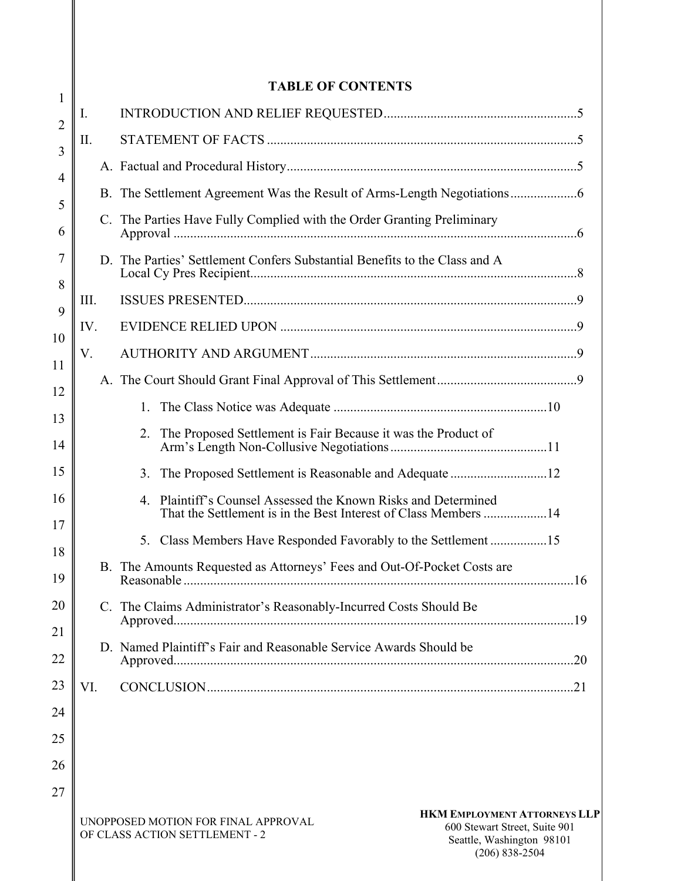## **TABLE OF CONTENTS**

| 1              |     |                                                                                                                                                                                                  |
|----------------|-----|--------------------------------------------------------------------------------------------------------------------------------------------------------------------------------------------------|
| $\overline{2}$ | I.  |                                                                                                                                                                                                  |
| 3              | П.  |                                                                                                                                                                                                  |
| $\overline{4}$ |     |                                                                                                                                                                                                  |
| 5              |     |                                                                                                                                                                                                  |
| 6              |     | C. The Parties Have Fully Complied with the Order Granting Preliminary                                                                                                                           |
| 7<br>8         |     | D. The Parties' Settlement Confers Substantial Benefits to the Class and A                                                                                                                       |
| 9              | Ш.  |                                                                                                                                                                                                  |
| 10             | IV. |                                                                                                                                                                                                  |
| 11             | V.  |                                                                                                                                                                                                  |
| 12             |     |                                                                                                                                                                                                  |
| 13             |     | 1.                                                                                                                                                                                               |
| 14             |     | The Proposed Settlement is Fair Because it was the Product of<br>2.                                                                                                                              |
| 15             |     | The Proposed Settlement is Reasonable and Adequate 12<br>3.                                                                                                                                      |
| 16<br>17       |     | Plaintiff's Counsel Assessed the Known Risks and Determined<br>4.<br>That the Settlement is in the Best Interest of Class Members 14                                                             |
| 18             |     | Class Members Have Responded Favorably to the Settlement15<br>5.                                                                                                                                 |
| 19             |     | B. The Amounts Requested as Attorneys' Fees and Out-Of-Pocket Costs are                                                                                                                          |
| 20             |     | C. The Claims Administrator's Reasonably-Incurred Costs Should Be                                                                                                                                |
| 21<br>22       |     | D. Named Plaintiff's Fair and Reasonable Service Awards Should be                                                                                                                                |
| 23             | VI. |                                                                                                                                                                                                  |
| 24             |     |                                                                                                                                                                                                  |
| 25             |     |                                                                                                                                                                                                  |
| 26             |     |                                                                                                                                                                                                  |
| 27             |     |                                                                                                                                                                                                  |
|                |     | <b>HKM EMPLOYMENT ATTORNEYS LLP</b><br>UNOPPOSED MOTION FOR FINAL APPROVAL<br>600 Stewart Street, Suite 901<br>OF CLASS ACTION SETTLEMENT - 2<br>Seattle, Washington 98101<br>$(206) 838 - 2504$ |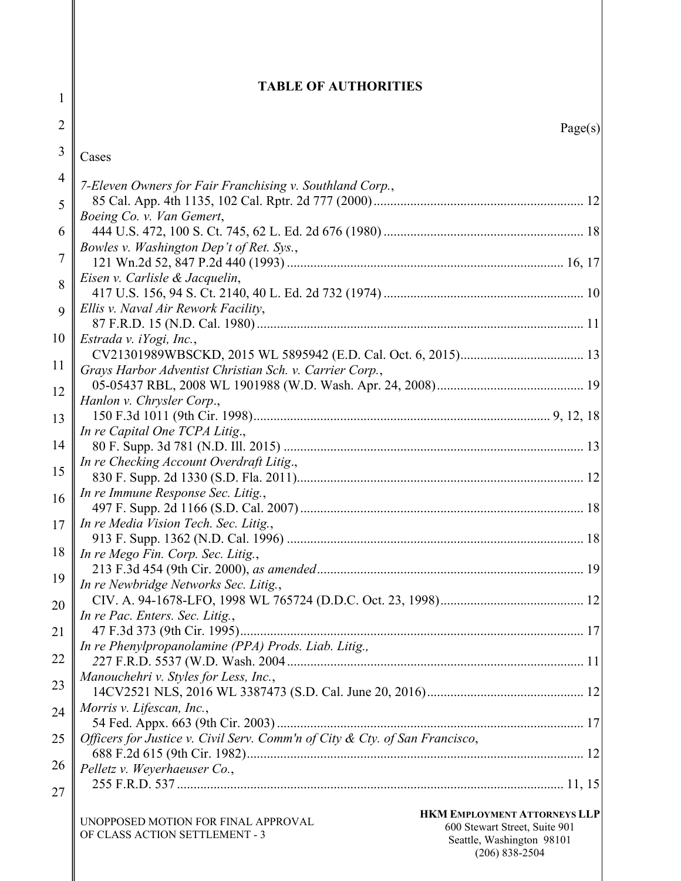| 1              | <b>TABLE OF AUTHORITIES</b>                                                                                                                                                |
|----------------|----------------------------------------------------------------------------------------------------------------------------------------------------------------------------|
| 2              |                                                                                                                                                                            |
|                | Page(s)                                                                                                                                                                    |
| 3              | Cases                                                                                                                                                                      |
| $\overline{4}$ | 7-Eleven Owners for Fair Franchising v. Southland Corp.,                                                                                                                   |
| 5              | Boeing Co. v. Van Gemert,                                                                                                                                                  |
| 6              |                                                                                                                                                                            |
| 7              | Bowles v. Washington Dep't of Ret. Sys.,                                                                                                                                   |
|                | Eisen v. Carlisle & Jacquelin,                                                                                                                                             |
| 8              |                                                                                                                                                                            |
| 9              | Ellis v. Naval Air Rework Facility,                                                                                                                                        |
| 10             | Estrada v. iYogi, Inc.,                                                                                                                                                    |
|                |                                                                                                                                                                            |
| 11             | Grays Harbor Adventist Christian Sch. v. Carrier Corp.,                                                                                                                    |
| 12             | Hanlon v. Chrysler Corp.,                                                                                                                                                  |
| 13             |                                                                                                                                                                            |
| 14             | In re Capital One TCPA Litig.,                                                                                                                                             |
|                | In re Checking Account Overdraft Litig.,                                                                                                                                   |
| 15             |                                                                                                                                                                            |
| 16             | In re Immune Response Sec. Litig.,                                                                                                                                         |
| 17             | In re Media Vision Tech. Sec. Litig.,                                                                                                                                      |
|                | 18    In re Mego Fin. Corp. Sec. Litig.,                                                                                                                                   |
|                |                                                                                                                                                                            |
| 19             | In re Newbridge Networks Sec. Litig.,                                                                                                                                      |
| 20             | In re Pac. Enters. Sec. Litig.,                                                                                                                                            |
| 21             | 47 F.3d 373 (9th Cir. 1995)                                                                                                                                                |
| 22             | In re Phenylpropanolamine (PPA) Prods. Liab. Litig.,                                                                                                                       |
|                | Manouchehri v. Styles for Less, Inc.,                                                                                                                                      |
| 23             |                                                                                                                                                                            |
| 24             | Morris v. Lifescan, Inc.,                                                                                                                                                  |
| 25             | Officers for Justice v. Civil Serv. Comm'n of City & Cty. of San Francisco,                                                                                                |
| 26             |                                                                                                                                                                            |
|                | Pelletz v. Weyerhaeuser Co.,                                                                                                                                               |
| 27             |                                                                                                                                                                            |
|                | <b>HKM EMPLOYMENT ATTORNEYS LLP</b><br>UNOPPOSED MOTION FOR FINAL APPROVAL<br>600 Stewart Street, Suite 901<br>OF CLASS ACTION SETTLEMENT - 3<br>Seattle, Washington 98101 |

(206) 838-2504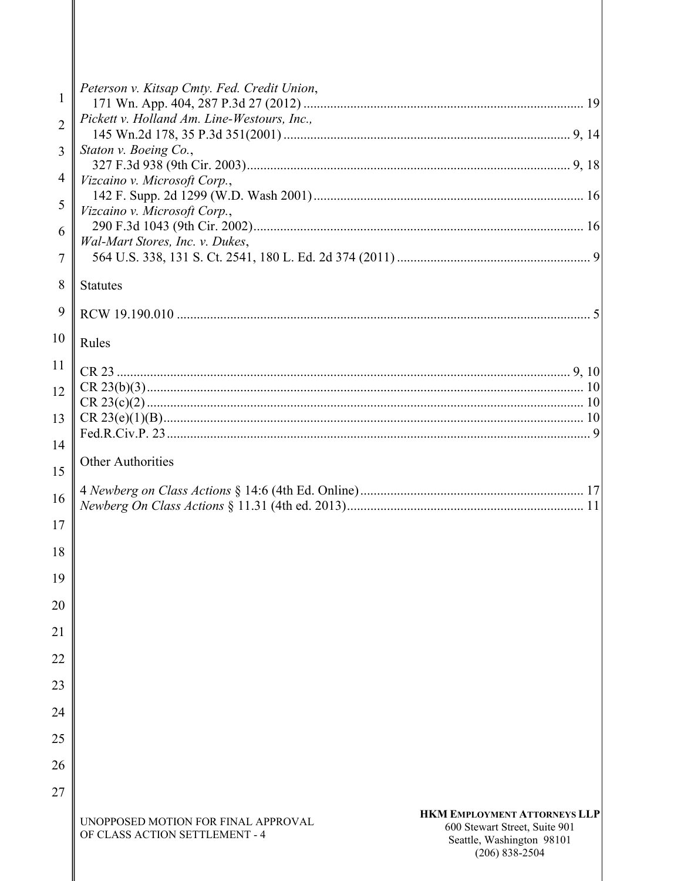| $\mathbf{1}$   | Peterson v. Kitsap Cmty. Fed. Credit Union,                                                                                                                                                      |
|----------------|--------------------------------------------------------------------------------------------------------------------------------------------------------------------------------------------------|
| $\overline{2}$ | Pickett v. Holland Am. Line-Westours, Inc.,                                                                                                                                                      |
| 3              | Staton v. Boeing Co.,                                                                                                                                                                            |
| 4              | Vizcaino v. Microsoft Corp.,                                                                                                                                                                     |
| 5              | Vizcaino v. Microsoft Corp.,                                                                                                                                                                     |
| 6              | Wal-Mart Stores, Inc. v. Dukes,                                                                                                                                                                  |
| 7              |                                                                                                                                                                                                  |
| 8              | <b>Statutes</b>                                                                                                                                                                                  |
| 9              |                                                                                                                                                                                                  |
| 10             | Rules                                                                                                                                                                                            |
| 11             |                                                                                                                                                                                                  |
| 12             |                                                                                                                                                                                                  |
| 13             |                                                                                                                                                                                                  |
| 14             |                                                                                                                                                                                                  |
| 15             | <b>Other Authorities</b>                                                                                                                                                                         |
| 16             |                                                                                                                                                                                                  |
| 17             |                                                                                                                                                                                                  |
| 18             |                                                                                                                                                                                                  |
| 19             |                                                                                                                                                                                                  |
| 20             |                                                                                                                                                                                                  |
| 21             |                                                                                                                                                                                                  |
| 22             |                                                                                                                                                                                                  |
| 23             |                                                                                                                                                                                                  |
| 24             |                                                                                                                                                                                                  |
| 25             |                                                                                                                                                                                                  |
| 26             |                                                                                                                                                                                                  |
| 27             |                                                                                                                                                                                                  |
|                | <b>HKM EMPLOYMENT ATTORNEYS LLP</b><br>UNOPPOSED MOTION FOR FINAL APPROVAL<br>600 Stewart Street, Suite 901<br>OF CLASS ACTION SETTLEMENT - 4<br>Seattle, Washington 98101<br>$(206) 838 - 2504$ |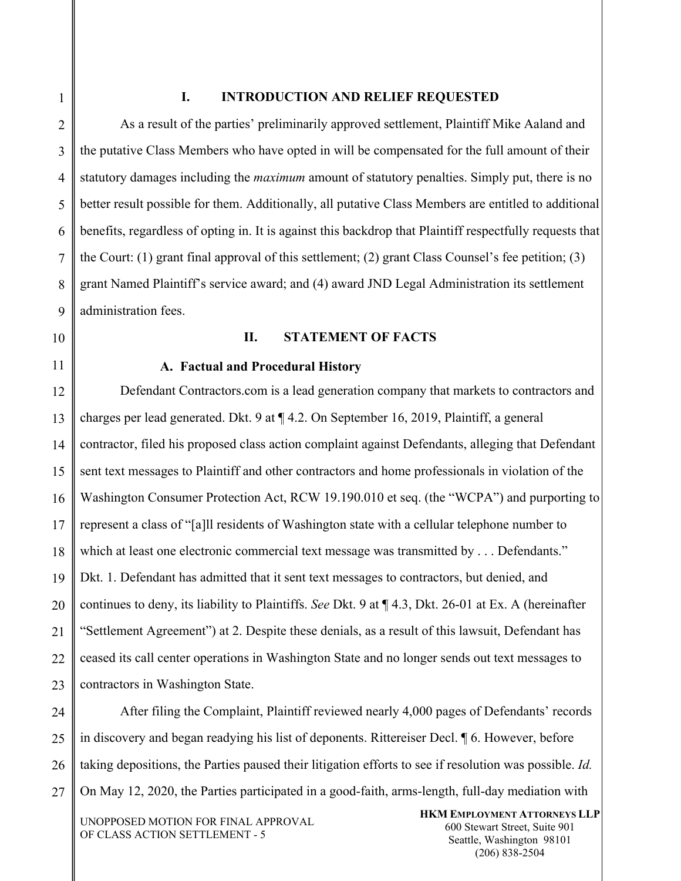7

8

9

#### **I. INTRODUCTION AND RELIEF REQUESTED**

As a result of the parties' preliminarily approved settlement, Plaintiff Mike Aaland and the putative Class Members who have opted in will be compensated for the full amount of their statutory damages including the *maximum* amount of statutory penalties. Simply put, there is no better result possible for them. Additionally, all putative Class Members are entitled to additional benefits, regardless of opting in. It is against this backdrop that Plaintiff respectfully requests that the Court: (1) grant final approval of this settlement; (2) grant Class Counsel's fee petition; (3) grant Named Plaintiff's service award; and (4) award JND Legal Administration its settlement administration fees.

# 11

10

# **II. STATEMENT OF FACTS**

**A. Factual and Procedural History** 

12 13 14 15 16 17 18 19 20 21 22 23 Defendant Contractors.com is a lead generation company that markets to contractors and charges per lead generated. Dkt. 9 at ¶ 4.2. On September 16, 2019, Plaintiff, a general contractor, filed his proposed class action complaint against Defendants, alleging that Defendant sent text messages to Plaintiff and other contractors and home professionals in violation of the Washington Consumer Protection Act, RCW 19.190.010 et seq. (the "WCPA") and purporting to represent a class of "[a]ll residents of Washington state with a cellular telephone number to which at least one electronic commercial text message was transmitted by . . . Defendants." Dkt. 1. Defendant has admitted that it sent text messages to contractors, but denied, and continues to deny, its liability to Plaintiffs. *See* Dkt. 9 at ¶ 4.3, Dkt. 26-01 at Ex. A (hereinafter "Settlement Agreement") at 2. Despite these denials, as a result of this lawsuit, Defendant has ceased its call center operations in Washington State and no longer sends out text messages to contractors in Washington State.

24 25 26 27 After filing the Complaint, Plaintiff reviewed nearly 4,000 pages of Defendants' records in discovery and began readying his list of deponents. Rittereiser Decl. ¶ 6. However, before taking depositions, the Parties paused their litigation efforts to see if resolution was possible. *Id.* On May 12, 2020, the Parties participated in a good-faith, arms-length, full-day mediation with

UNOPPOSED MOTION FOR FINAL APPROVAL OF CLASS ACTION SETTLEMENT - 5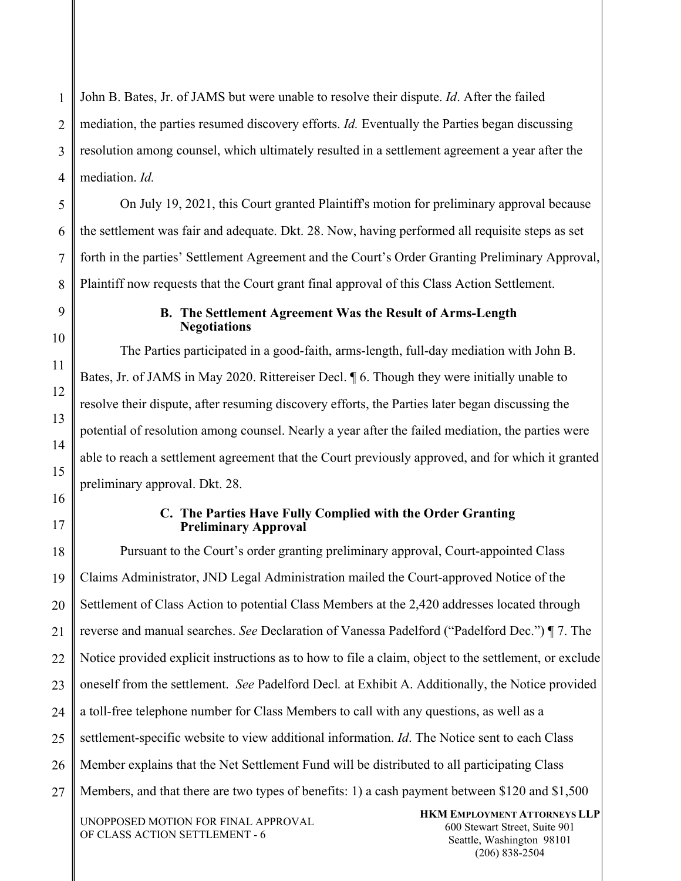1 2 3 John B. Bates, Jr. of JAMS but were unable to resolve their dispute. *Id*. After the failed mediation, the parties resumed discovery efforts. *Id.* Eventually the Parties began discussing resolution among counsel, which ultimately resulted in a settlement agreement a year after the mediation. *Id.* 

On July 19, 2021, this Court granted Plaintiff's motion for preliminary approval because the settlement was fair and adequate. Dkt. 28. Now, having performed all requisite steps as set forth in the parties' Settlement Agreement and the Court's Order Granting Preliminary Approval, Plaintiff now requests that the Court grant final approval of this Class Action Settlement.

#### **B. The Settlement Agreement Was the Result of Arms-Length Negotiations**

The Parties participated in a good-faith, arms-length, full-day mediation with John B. Bates, Jr. of JAMS in May 2020. Rittereiser Decl. ¶ 6. Though they were initially unable to resolve their dispute, after resuming discovery efforts, the Parties later began discussing the potential of resolution among counsel. Nearly a year after the failed mediation, the parties were able to reach a settlement agreement that the Court previously approved, and for which it granted preliminary approval. Dkt. 28.

## **C. The Parties Have Fully Complied with the Order Granting Preliminary Approval**

UNOPPOSED MOTION FOR FINAL APPROVAL **HKM EMPLOYMENT ATTORNEYS LLP**  27 Pursuant to the Court's order granting preliminary approval, Court-appointed Class Claims Administrator, JND Legal Administration mailed the Court-approved Notice of the Settlement of Class Action to potential Class Members at the 2,420 addresses located through reverse and manual searches. *See* Declaration of Vanessa Padelford ("Padelford Dec.") ¶ 7. The Notice provided explicit instructions as to how to file a claim, object to the settlement, or exclude oneself from the settlement. *See* Padelford Decl*.* at Exhibit A. Additionally, the Notice provided a toll-free telephone number for Class Members to call with any questions, as well as a settlement-specific website to view additional information. *Id*. The Notice sent to each Class Member explains that the Net Settlement Fund will be distributed to all participating Class Members, and that there are two types of benefits: 1) a cash payment between \$120 and \$1,500

OF CLASS ACTION SETTLEMENT - 6

600 Stewart Street, Suite 901 Seattle, Washington 98101 (206) 838-2504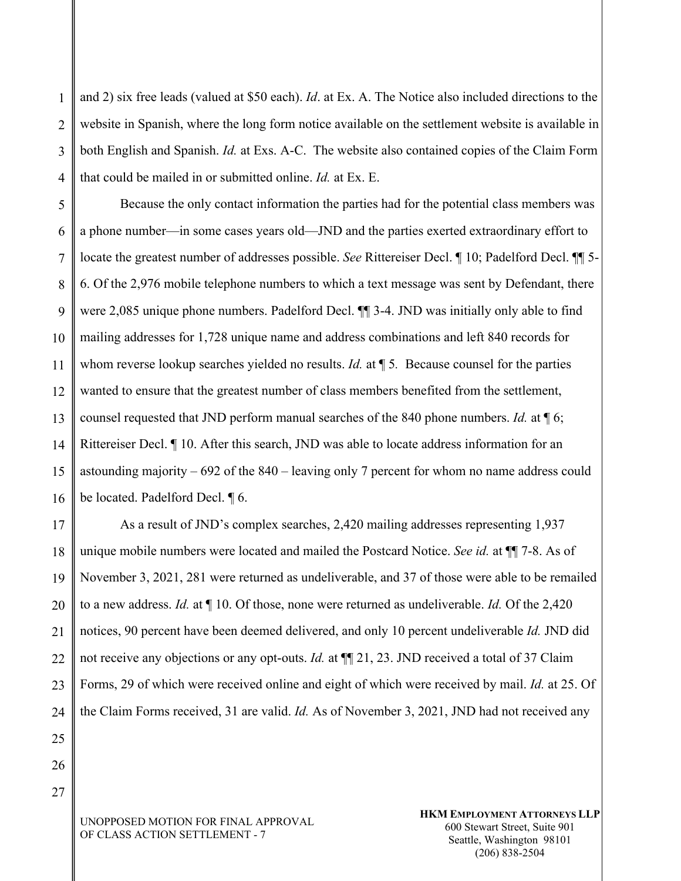1 2 3 4 and 2) six free leads (valued at \$50 each). *Id*. at Ex. A. The Notice also included directions to the website in Spanish, where the long form notice available on the settlement website is available in both English and Spanish. *Id.* at Exs. A-C. The website also contained copies of the Claim Form that could be mailed in or submitted online. *Id.* at Ex. E.

5 6 7 8 9 10 11 12 13 14 15 16 Because the only contact information the parties had for the potential class members was a phone number—in some cases years old—JND and the parties exerted extraordinary effort to locate the greatest number of addresses possible. *See* Rittereiser Decl. ¶ 10; Padelford Decl. ¶¶ 5- 6. Of the 2,976 mobile telephone numbers to which a text message was sent by Defendant, there were 2,085 unique phone numbers. Padelford Decl. ¶¶ 3-4. JND was initially only able to find mailing addresses for 1,728 unique name and address combinations and left 840 records for whom reverse lookup searches yielded no results. *Id.* at ¶ 5*.* Because counsel for the parties wanted to ensure that the greatest number of class members benefited from the settlement, counsel requested that JND perform manual searches of the 840 phone numbers. *Id.* at ¶ 6; Rittereiser Decl. ¶ 10. After this search, JND was able to locate address information for an astounding majority – 692 of the 840 – leaving only 7 percent for whom no name address could be located. Padelford Decl. ¶ 6.

17 18 19 20 21 22 23 24 As a result of JND's complex searches, 2,420 mailing addresses representing 1,937 unique mobile numbers were located and mailed the Postcard Notice. *See id.* at ¶¶ 7-8. As of November 3, 2021, 281 were returned as undeliverable, and 37 of those were able to be remailed to a new address. *Id.* at ¶ 10. Of those, none were returned as undeliverable. *Id.* Of the 2,420 notices, 90 percent have been deemed delivered, and only 10 percent undeliverable *Id.* JND did not receive any objections or any opt-outs. *Id.* at ¶¶ 21, 23. JND received a total of 37 Claim Forms, 29 of which were received online and eight of which were received by mail. *Id.* at 25. Of the Claim Forms received, 31 are valid. *Id.* As of November 3, 2021, JND had not received any

25 26

27

UNOPPOSED MOTION FOR FINAL APPROVAL OF CLASS ACTION SETTLEMENT - 7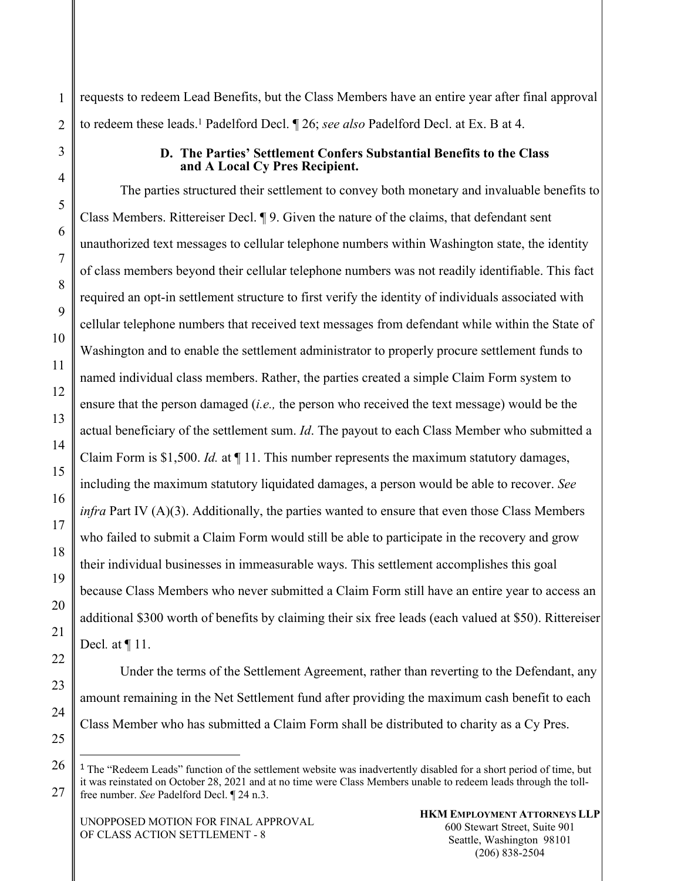requests to redeem Lead Benefits, but the Class Members have an entire year after final approval to redeem these leads.1 Padelford Decl. ¶ 26; *see also* Padelford Decl. at Ex. B at 4.

#### **D. The Parties' Settlement Confers Substantial Benefits to the Class and A Local Cy Pres Recipient.**

The parties structured their settlement to convey both monetary and invaluable benefits to Class Members. Rittereiser Decl. ¶ 9. Given the nature of the claims, that defendant sent unauthorized text messages to cellular telephone numbers within Washington state, the identity of class members beyond their cellular telephone numbers was not readily identifiable. This fact required an opt-in settlement structure to first verify the identity of individuals associated with cellular telephone numbers that received text messages from defendant while within the State of Washington and to enable the settlement administrator to properly procure settlement funds to named individual class members. Rather, the parties created a simple Claim Form system to ensure that the person damaged (*i.e.,* the person who received the text message) would be the actual beneficiary of the settlement sum. *Id*. The payout to each Class Member who submitted a Claim Form is \$1,500. *Id.* at ¶ 11. This number represents the maximum statutory damages, including the maximum statutory liquidated damages, a person would be able to recover. *See infra* Part IV (A)(3). Additionally, the parties wanted to ensure that even those Class Members who failed to submit a Claim Form would still be able to participate in the recovery and grow their individual businesses in immeasurable ways. This settlement accomplishes this goal because Class Members who never submitted a Claim Form still have an entire year to access an additional \$300 worth of benefits by claiming their six free leads (each valued at \$50). Rittereiser Decl*.* at ¶ 11.

Under the terms of the Settlement Agreement, rather than reverting to the Defendant, any amount remaining in the Net Settlement fund after providing the maximum cash benefit to each Class Member who has submitted a Claim Form shall be distributed to charity as a Cy Pres.

<sup>1</sup> The "Redeem Leads" function of the settlement website was inadvertently disabled for a short period of time, but it was reinstated on October 28, 2021 and at no time were Class Members unable to redeem leads through the tollfree number. *See* Padelford Decl. ¶ 24 n.3.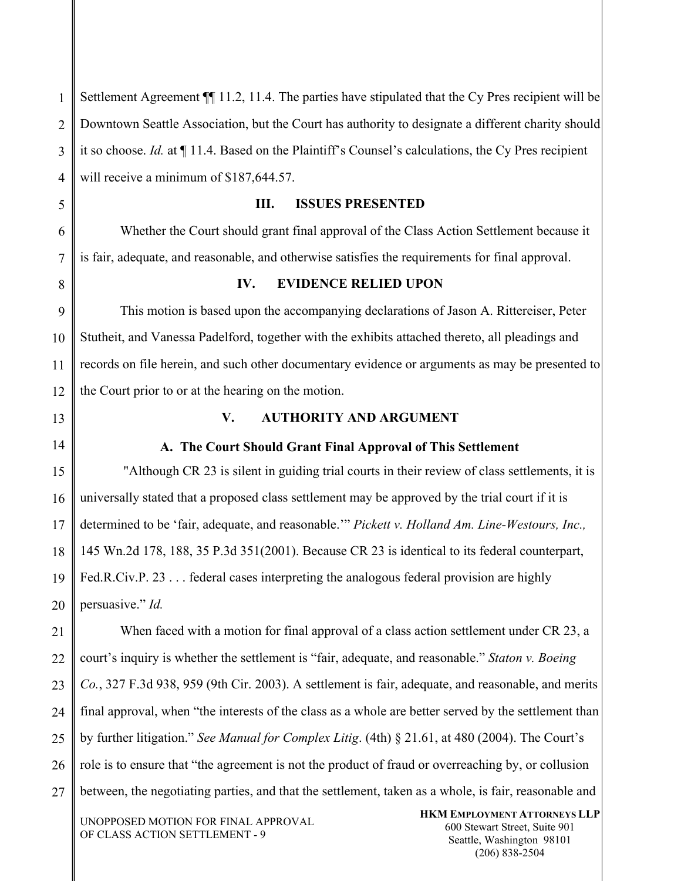1 2 3 4 Settlement Agreement  $\P$  11.2, 11.4. The parties have stipulated that the Cy Pres recipient will be Downtown Seattle Association, but the Court has authority to designate a different charity should it so choose. *Id.* at ¶ 11.4. Based on the Plaintiff's Counsel's calculations, the Cy Pres recipient will receive a minimum of \$187,644.57.

**III. ISSUES PRESENTED** 

Whether the Court should grant final approval of the Class Action Settlement because it is fair, adequate, and reasonable, and otherwise satisfies the requirements for final approval.

#### **IV. EVIDENCE RELIED UPON**

9 10 11 12 This motion is based upon the accompanying declarations of Jason A. Rittereiser, Peter Stutheit, and Vanessa Padelford, together with the exhibits attached thereto, all pleadings and records on file herein, and such other documentary evidence or arguments as may be presented to the Court prior to or at the hearing on the motion.

13

14

5

6

7

8

## **V. AUTHORITY AND ARGUMENT**

#### **A. The Court Should Grant Final Approval of This Settlement**

15 16 17 18 19 20 "Although CR 23 is silent in guiding trial courts in their review of class settlements, it is universally stated that a proposed class settlement may be approved by the trial court if it is determined to be 'fair, adequate, and reasonable.'" *Pickett v. Holland Am. Line-Westours, Inc.,* 145 Wn.2d 178, 188, 35 P.3d 351(2001). Because CR 23 is identical to its federal counterpart, Fed.R.Civ.P. 23 . . . federal cases interpreting the analogous federal provision are highly persuasive." *Id.* 

21 22 23 24 25 26 27 When faced with a motion for final approval of a class action settlement under CR 23, a court's inquiry is whether the settlement is "fair, adequate, and reasonable." *Staton v. Boeing Co.*, 327 F.3d 938, 959 (9th Cir. 2003). A settlement is fair, adequate, and reasonable, and merits final approval, when "the interests of the class as a whole are better served by the settlement than by further litigation." *See Manual for Complex Litig*. (4th) § 21.61, at 480 (2004). The Court's role is to ensure that "the agreement is not the product of fraud or overreaching by, or collusion between, the negotiating parties, and that the settlement, taken as a whole, is fair, reasonable and

UNOPPOSED MOTION FOR FINAL APPROVAL OF CLASS ACTION SETTLEMENT - 9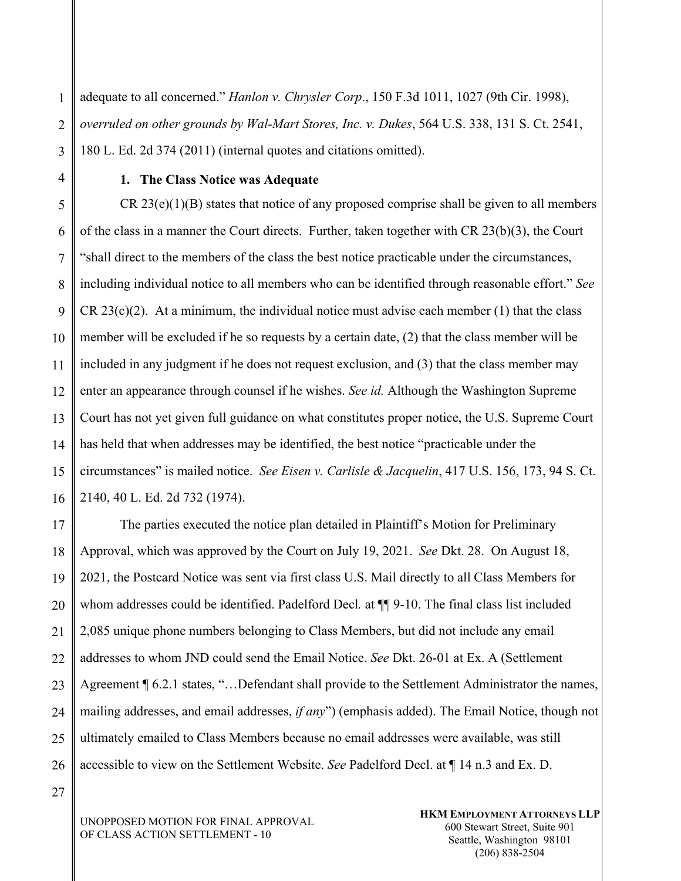1 2 3 adequate to all concerned." *Hanlon v. Chrysler Corp*., 150 F.3d 1011, 1027 (9th Cir. 1998), *overruled on other grounds by Wal-Mart Stores, Inc. v. Dukes*, 564 U.S. 338, 131 S. Ct. 2541, 180 L. Ed. 2d 374 (2011) (internal quotes and citations omitted).

4

#### **1. The Class Notice was Adequate**

5 6 7 8 9 10 11 12 13 14 15 16  $CR 23(e)(1)(B)$  states that notice of any proposed comprise shall be given to all members of the class in a manner the Court directs. Further, taken together with CR 23(b)(3), the Court "shall direct to the members of the class the best notice practicable under the circumstances, including individual notice to all members who can be identified through reasonable effort." *See* CR 23(c)(2). At a minimum, the individual notice must advise each member  $(1)$  that the class member will be excluded if he so requests by a certain date, (2) that the class member will be included in any judgment if he does not request exclusion, and (3) that the class member may enter an appearance through counsel if he wishes. *See id.* Although the Washington Supreme Court has not yet given full guidance on what constitutes proper notice, the U.S. Supreme Court has held that when addresses may be identified, the best notice "practicable under the circumstances" is mailed notice. *See Eisen v. Carlisle & Jacquelin*, 417 U.S. 156, 173, 94 S. Ct. 2140, 40 L. Ed. 2d 732 (1974).

17 18 19 20 21 22 23 24 25 26 The parties executed the notice plan detailed in Plaintiff's Motion for Preliminary Approval, which was approved by the Court on July 19, 2021. *See* Dkt. 28. On August 18, 2021, the Postcard Notice was sent via first class U.S. Mail directly to all Class Members for whom addresses could be identified. Padelford Decl*.* at ¶¶ 9-10. The final class list included 2,085 unique phone numbers belonging to Class Members, but did not include any email addresses to whom JND could send the Email Notice. *See* Dkt. 26-01 at Ex. A (Settlement Agreement ¶ 6.2.1 states, "...Defendant shall provide to the Settlement Administrator the names, mailing addresses, and email addresses, *if any*") (emphasis added). The Email Notice, though not ultimately emailed to Class Members because no email addresses were available, was still accessible to view on the Settlement Website. *See* Padelford Decl. at ¶ 14 n.3 and Ex. D.

27

UNOPPOSED MOTION FOR FINAL APPROVAL OF CLASS ACTION SETTLEMENT - 10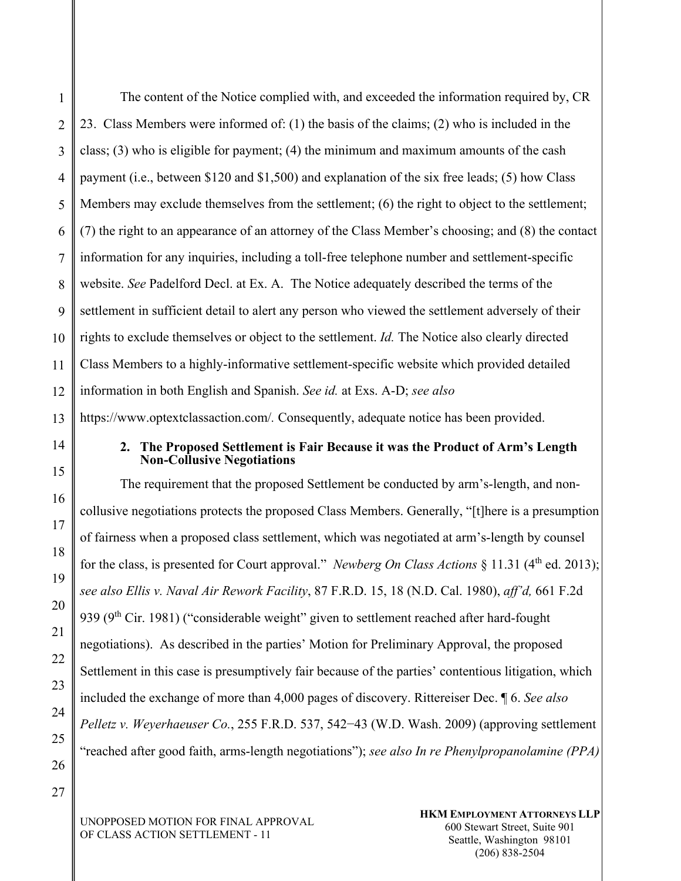1 2 The content of the Notice complied with, and exceeded the information required by, CR 23. Class Members were informed of: (1) the basis of the claims; (2) who is included in the class; (3) who is eligible for payment; (4) the minimum and maximum amounts of the cash payment (i.e., between \$120 and \$1,500) and explanation of the six free leads; (5) how Class Members may exclude themselves from the settlement; (6) the right to object to the settlement; (7) the right to an appearance of an attorney of the Class Member's choosing; and (8) the contact information for any inquiries, including a toll-free telephone number and settlement-specific website. *See* Padelford Decl. at Ex. A. The Notice adequately described the terms of the settlement in sufficient detail to alert any person who viewed the settlement adversely of their rights to exclude themselves or object to the settlement. *Id.* The Notice also clearly directed Class Members to a highly-informative settlement-specific website which provided detailed information in both English and Spanish. *See id.* at Exs. A-D; *see also*  https://www.optextclassaction.com/*.* Consequently, adequate notice has been provided.

#### **2. The Proposed Settlement is Fair Because it was the Product of Arm's Length Non-Collusive Negotiations**

The requirement that the proposed Settlement be conducted by arm's-length, and noncollusive negotiations protects the proposed Class Members. Generally, "[t]here is a presumption of fairness when a proposed class settlement, which was negotiated at arm's-length by counsel for the class, is presented for Court approval." *Newberg On Class Actions*  $\S 11.31$  (4<sup>th</sup> ed. 2013); *see also Ellis v. Naval Air Rework Facility*, 87 F.R.D. 15, 18 (N.D. Cal. 1980), *aff'd,* 661 F.2d 939 ( $9<sup>th</sup> Cir.$  1981) ("considerable weight" given to settlement reached after hard-fought negotiations). As described in the parties' Motion for Preliminary Approval, the proposed Settlement in this case is presumptively fair because of the parties' contentious litigation, which included the exchange of more than 4,000 pages of discovery. Rittereiser Dec. ¶ 6. *See also Pelletz v. Weyerhaeuser Co.*, 255 F.R.D. 537, 542−43 (W.D. Wash. 2009) (approving settlement "reached after good faith, arms-length negotiations"); *see also In re Phenylpropanolamine (PPA)* 

UNOPPOSED MOTION FOR FINAL APPROVAL OF CLASS ACTION SETTLEMENT - 11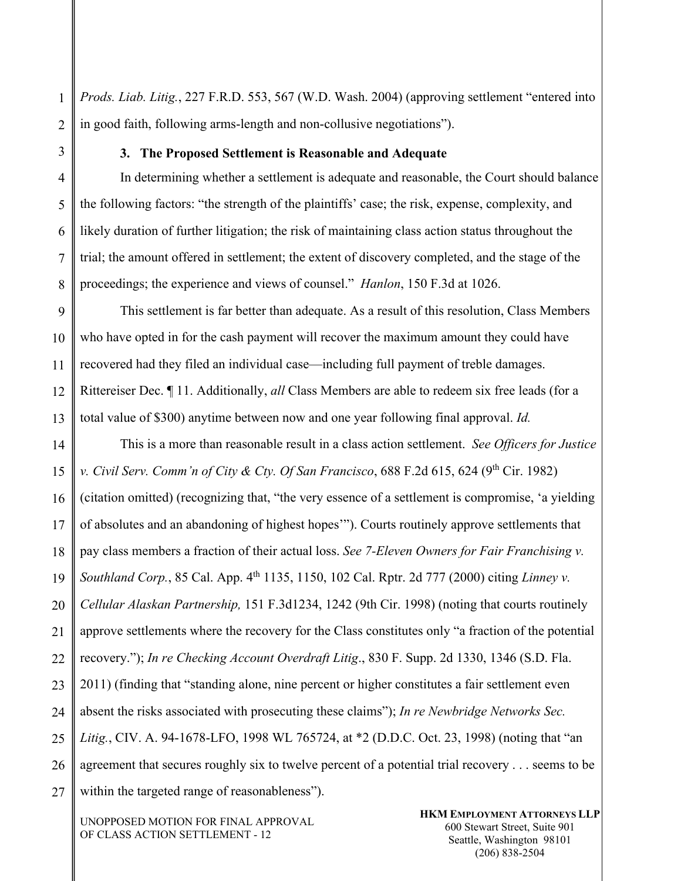*Prods. Liab. Litig.*, 227 F.R.D. 553, 567 (W.D. Wash. 2004) (approving settlement "entered into in good faith, following arms-length and non-collusive negotiations").

#### **3. The Proposed Settlement is Reasonable and Adequate**

In determining whether a settlement is adequate and reasonable, the Court should balance the following factors: "the strength of the plaintiffs' case; the risk, expense, complexity, and likely duration of further litigation; the risk of maintaining class action status throughout the trial; the amount offered in settlement; the extent of discovery completed, and the stage of the proceedings; the experience and views of counsel." *Hanlon*, 150 F.3d at 1026.

This settlement is far better than adequate. As a result of this resolution, Class Members who have opted in for the cash payment will recover the maximum amount they could have recovered had they filed an individual case—including full payment of treble damages. Rittereiser Dec. ¶ 11. Additionally, *all* Class Members are able to redeem six free leads (for a total value of \$300) anytime between now and one year following final approval. *Id.*

This is a more than reasonable result in a class action settlement. *See Officers for Justice v. Civil Serv. Comm'n of City & Cty. Of San Francisco,* 688 F.2d 615, 624 (9<sup>th</sup> Cir. 1982) (citation omitted) (recognizing that, "the very essence of a settlement is compromise, 'a yielding of absolutes and an abandoning of highest hopes'"). Courts routinely approve settlements that pay class members a fraction of their actual loss. *See 7-Eleven Owners for Fair Franchising v. Southland Corp.*, 85 Cal. App. 4<sup>th</sup> 1135, 1150, 102 Cal. Rptr. 2d 777 (2000) citing *Linney v. Cellular Alaskan Partnership,* 151 F.3d1234, 1242 (9th Cir. 1998) (noting that courts routinely approve settlements where the recovery for the Class constitutes only "a fraction of the potential recovery."); *In re Checking Account Overdraft Litig*., 830 F. Supp. 2d 1330, 1346 (S.D. Fla. 2011) (finding that "standing alone, nine percent or higher constitutes a fair settlement even absent the risks associated with prosecuting these claims"); *In re Newbridge Networks Sec. Litig.*, CIV. A. 94-1678-LFO, 1998 WL 765724, at \*2 (D.D.C. Oct. 23, 1998) (noting that "an agreement that secures roughly six to twelve percent of a potential trial recovery . . . seems to be within the targeted range of reasonableness".

UNOPPOSED MOTION FOR FINAL APPROVAL OF CLASS ACTION SETTLEMENT - 12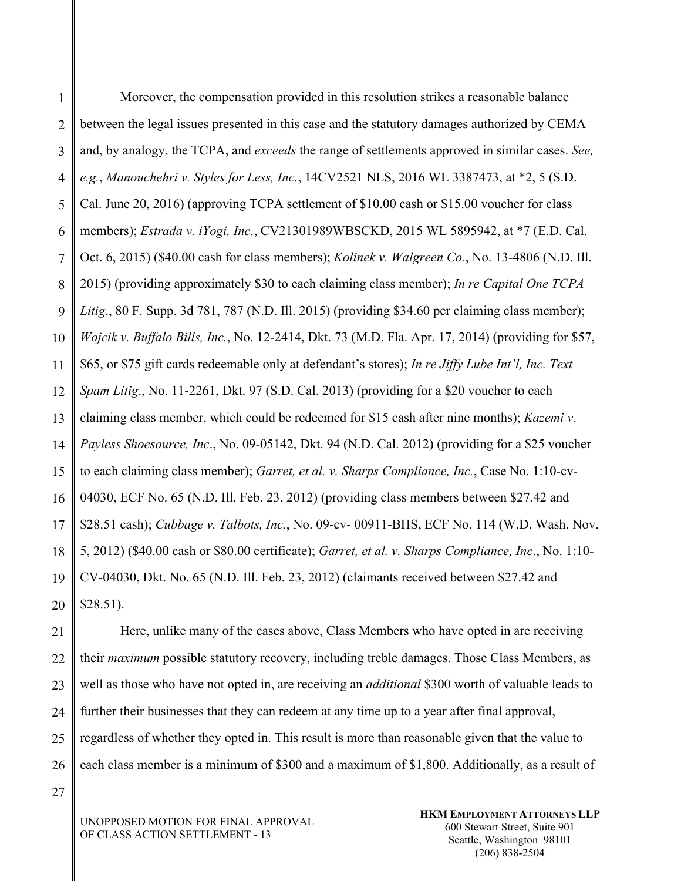1 2 3 4 5 6 7 8 9 10 11 12 13 14 15 16 17 18 19 20 Moreover, the compensation provided in this resolution strikes a reasonable balance between the legal issues presented in this case and the statutory damages authorized by CEMA and, by analogy, the TCPA, and *exceeds* the range of settlements approved in similar cases. *See, e.g.*, *Manouchehri v. Styles for Less, Inc.*, 14CV2521 NLS, 2016 WL 3387473, at \*2, 5 (S.D. Cal. June 20, 2016) (approving TCPA settlement of \$10.00 cash or \$15.00 voucher for class members); *Estrada v. iYogi, Inc.*, CV21301989WBSCKD, 2015 WL 5895942, at \*7 (E.D. Cal. Oct. 6, 2015) (\$40.00 cash for class members); *Kolinek v. Walgreen Co.*, No. 13-4806 (N.D. Ill. 2015) (providing approximately \$30 to each claiming class member); *In re Capital One TCPA Litig*., 80 F. Supp. 3d 781, 787 (N.D. Ill. 2015) (providing \$34.60 per claiming class member); *Wojcik v. Buffalo Bills, Inc.*, No. 12-2414, Dkt. 73 (M.D. Fla. Apr. 17, 2014) (providing for \$57, \$65, or \$75 gift cards redeemable only at defendant's stores); *In re Jiffy Lube Int'l, Inc. Text Spam Litig*., No. 11-2261, Dkt. 97 (S.D. Cal. 2013) (providing for a \$20 voucher to each claiming class member, which could be redeemed for \$15 cash after nine months); *Kazemi v. Payless Shoesource, Inc*., No. 09-05142, Dkt. 94 (N.D. Cal. 2012) (providing for a \$25 voucher to each claiming class member); *Garret, et al. v. Sharps Compliance, Inc.*, Case No. 1:10-cv-04030, ECF No. 65 (N.D. Ill. Feb. 23, 2012) (providing class members between \$27.42 and \$28.51 cash); *Cubbage v. Talbots, Inc.*, No. 09-cv- 00911-BHS, ECF No. 114 (W.D. Wash. Nov. 5, 2012) (\$40.00 cash or \$80.00 certificate); *Garret, et al. v. Sharps Compliance, Inc*., No. 1:10- CV-04030, Dkt. No. 65 (N.D. Ill. Feb. 23, 2012) (claimants received between \$27.42 and \$28.51).

21 22 23 24 25 26 Here, unlike many of the cases above, Class Members who have opted in are receiving their *maximum* possible statutory recovery, including treble damages. Those Class Members, as well as those who have not opted in, are receiving an *additional* \$300 worth of valuable leads to further their businesses that they can redeem at any time up to a year after final approval, regardless of whether they opted in. This result is more than reasonable given that the value to each class member is a minimum of \$300 and a maximum of \$1,800. Additionally, as a result of

27

UNOPPOSED MOTION FOR FINAL APPROVAL OF CLASS ACTION SETTLEMENT - 13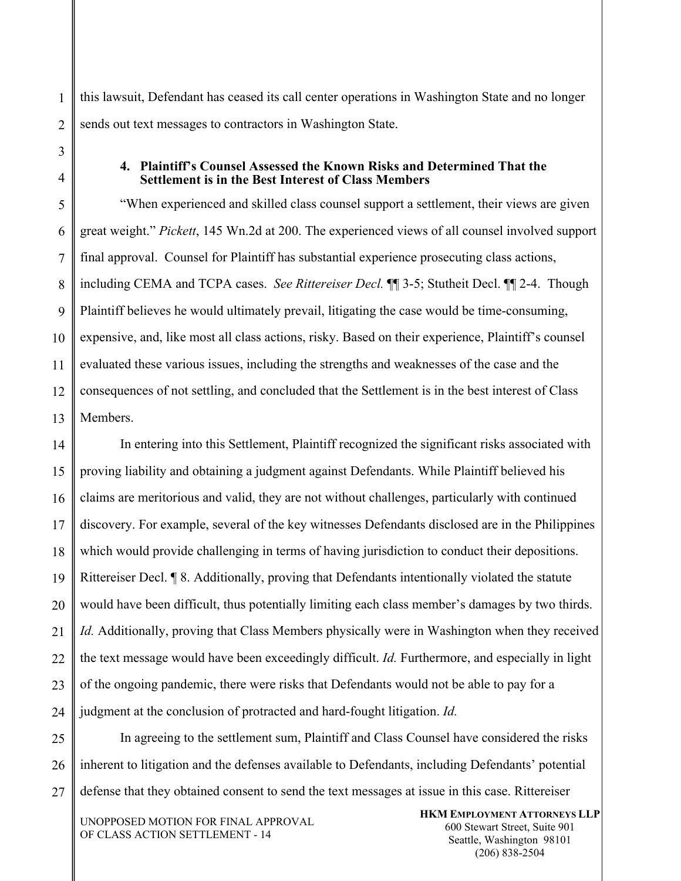1 this lawsuit, Defendant has ceased its call center operations in Washington State and no longer sends out text messages to contractors in Washington State.

#### **4. Plaintiff's Counsel Assessed the Known Risks and Determined That the Settlement is in the Best Interest of Class Members**

"When experienced and skilled class counsel support a settlement, their views are given great weight." *Pickett*, 145 Wn.2d at 200. The experienced views of all counsel involved support final approval. Counsel for Plaintiff has substantial experience prosecuting class actions, including CEMA and TCPA cases. *See Rittereiser Decl.* ¶¶ 3-5; Stutheit Decl. ¶¶ 2-4. Though Plaintiff believes he would ultimately prevail, litigating the case would be time-consuming, expensive, and, like most all class actions, risky. Based on their experience, Plaintiff's counsel evaluated these various issues, including the strengths and weaknesses of the case and the consequences of not settling, and concluded that the Settlement is in the best interest of Class Members.

In entering into this Settlement, Plaintiff recognized the significant risks associated with proving liability and obtaining a judgment against Defendants. While Plaintiff believed his claims are meritorious and valid, they are not without challenges, particularly with continued discovery. For example, several of the key witnesses Defendants disclosed are in the Philippines which would provide challenging in terms of having jurisdiction to conduct their depositions. Rittereiser Decl. ¶ 8. Additionally, proving that Defendants intentionally violated the statute would have been difficult, thus potentially limiting each class member's damages by two thirds. *Id.* Additionally, proving that Class Members physically were in Washington when they received the text message would have been exceedingly difficult. *Id.* Furthermore, and especially in light of the ongoing pandemic, there were risks that Defendants would not be able to pay for a judgment at the conclusion of protracted and hard-fought litigation. *Id.* 

27 In agreeing to the settlement sum, Plaintiff and Class Counsel have considered the risks inherent to litigation and the defenses available to Defendants, including Defendants' potential defense that they obtained consent to send the text messages at issue in this case. Rittereiser

UNOPPOSED MOTION FOR FINAL APPROVAL OF CLASS ACTION SETTLEMENT - 14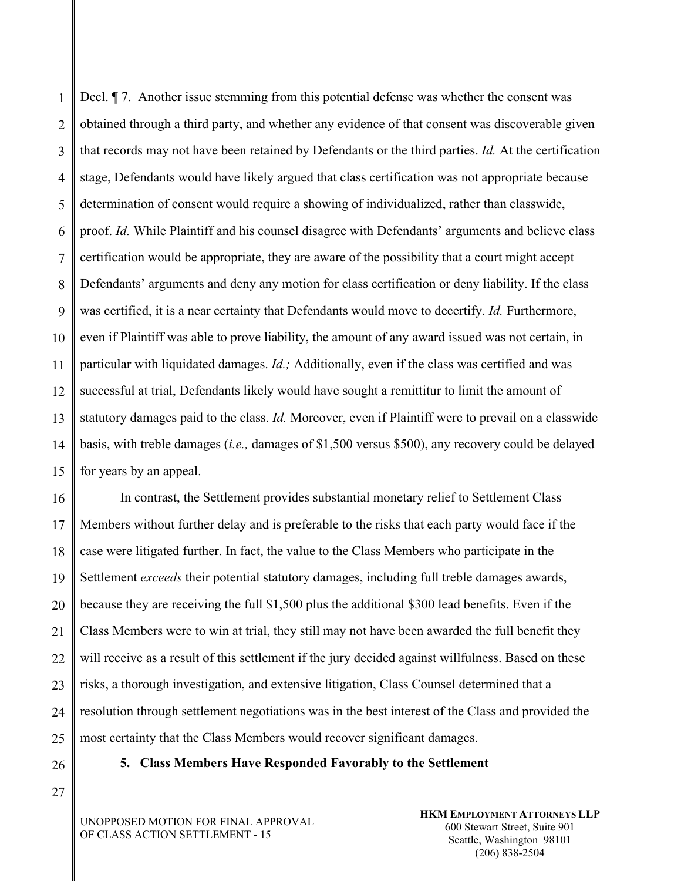1 2 3 4 5 6 7 8 9 10 11 12 13 14 15 Decl. ¶ 7. Another issue stemming from this potential defense was whether the consent was obtained through a third party, and whether any evidence of that consent was discoverable given that records may not have been retained by Defendants or the third parties. *Id.* At the certification stage, Defendants would have likely argued that class certification was not appropriate because determination of consent would require a showing of individualized, rather than classwide, proof. *Id.* While Plaintiff and his counsel disagree with Defendants' arguments and believe class certification would be appropriate, they are aware of the possibility that a court might accept Defendants' arguments and deny any motion for class certification or deny liability. If the class was certified, it is a near certainty that Defendants would move to decertify. *Id.* Furthermore, even if Plaintiff was able to prove liability, the amount of any award issued was not certain, in particular with liquidated damages. *Id.;* Additionally, even if the class was certified and was successful at trial, Defendants likely would have sought a remittitur to limit the amount of statutory damages paid to the class. *Id.* Moreover, even if Plaintiff were to prevail on a classwide basis, with treble damages (*i.e.,* damages of \$1,500 versus \$500), any recovery could be delayed for years by an appeal.

16 17 18 19 20 21 22 23 24 25 In contrast, the Settlement provides substantial monetary relief to Settlement Class Members without further delay and is preferable to the risks that each party would face if the case were litigated further. In fact, the value to the Class Members who participate in the Settlement *exceeds* their potential statutory damages, including full treble damages awards, because they are receiving the full \$1,500 plus the additional \$300 lead benefits. Even if the Class Members were to win at trial, they still may not have been awarded the full benefit they will receive as a result of this settlement if the jury decided against willfulness. Based on these risks, a thorough investigation, and extensive litigation, Class Counsel determined that a resolution through settlement negotiations was in the best interest of the Class and provided the most certainty that the Class Members would recover significant damages.

26 27 **5. Class Members Have Responded Favorably to the Settlement**

UNOPPOSED MOTION FOR FINAL APPROVAL OF CLASS ACTION SETTLEMENT - 15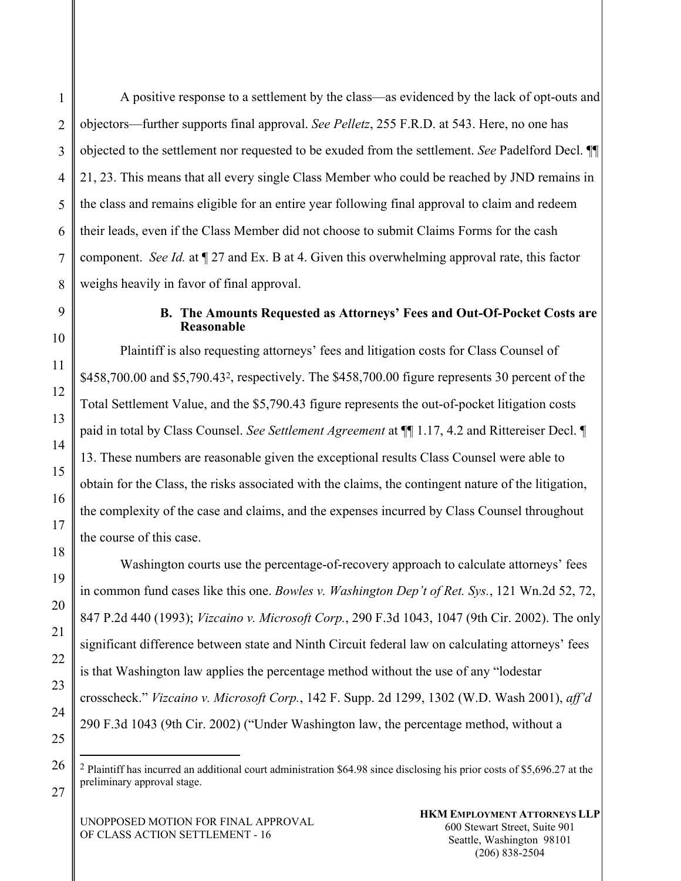A positive response to a settlement by the class—as evidenced by the lack of opt-outs and objectors—further supports final approval. *See Pelletz*, 255 F.R.D. at 543. Here, no one has objected to the settlement nor requested to be exuded from the settlement. *See* Padelford Decl. ¶¶ 21, 23. This means that all every single Class Member who could be reached by JND remains in the class and remains eligible for an entire year following final approval to claim and redeem their leads, even if the Class Member did not choose to submit Claims Forms for the cash component. *See Id.* at ¶ 27 and Ex. B at 4. Given this overwhelming approval rate, this factor weighs heavily in favor of final approval.

## **B. The Amounts Requested as Attorneys' Fees and Out-Of-Pocket Costs are Reasonable**

Plaintiff is also requesting attorneys' fees and litigation costs for Class Counsel of \$458,700.00 and \$5,790.432, respectively. The \$458,700.00 figure represents 30 percent of the Total Settlement Value, and the \$5,790.43 figure represents the out-of-pocket litigation costs paid in total by Class Counsel. *See Settlement Agreement* at ¶¶ 1.17, 4.2 and Rittereiser Decl. ¶ 13. These numbers are reasonable given the exceptional results Class Counsel were able to obtain for the Class, the risks associated with the claims, the contingent nature of the litigation, the complexity of the case and claims, and the expenses incurred by Class Counsel throughout the course of this case.

Washington courts use the percentage-of-recovery approach to calculate attorneys' fees in common fund cases like this one. *Bowles v. Washington Dep't of Ret. Sys.*, 121 Wn.2d 52, 72, 847 P.2d 440 (1993); *Vizcaino v. Microsoft Corp.*, 290 F.3d 1043, 1047 (9th Cir. 2002). The only significant difference between state and Ninth Circuit federal law on calculating attorneys' fees is that Washington law applies the percentage method without the use of any "lodestar crosscheck." *Vizcaino v. Microsoft Corp.*, 142 F. Supp. 2d 1299, 1302 (W.D. Wash 2001), *aff'd* 290 F.3d 1043 (9th Cir. 2002) ("Under Washington law, the percentage method, without a

UNOPPOSED MOTION FOR FINAL APPROVAL OF CLASS ACTION SETTLEMENT - 16

1

<sup>2</sup> Plaintiff has incurred an additional court administration \$64.98 since disclosing his prior costs of \$5,696.27 at the preliminary approval stage.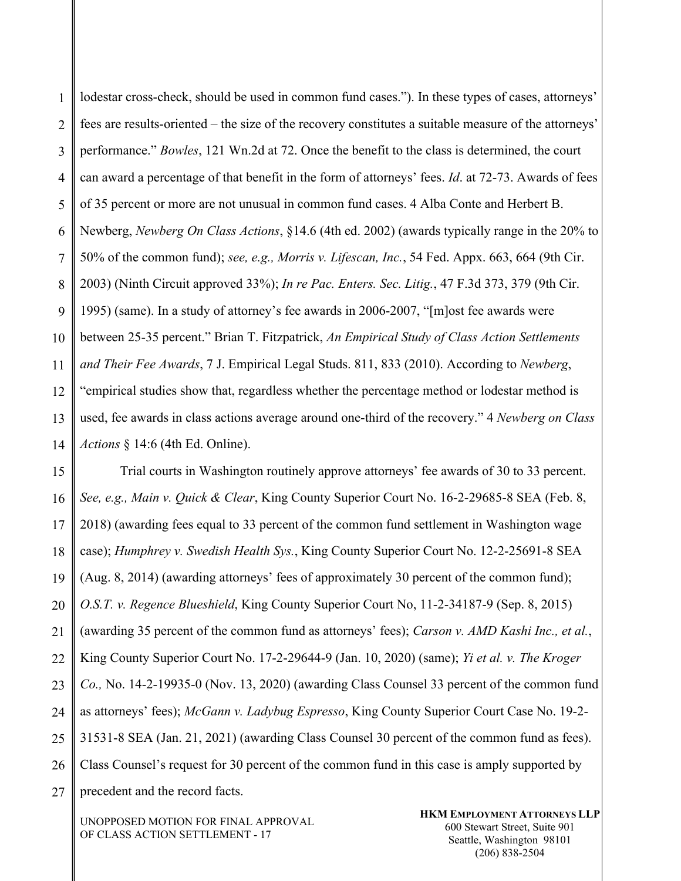1 2 3 4 5 6 7 8 9 10 11 12 13 14 lodestar cross-check, should be used in common fund cases."). In these types of cases, attorneys' fees are results-oriented – the size of the recovery constitutes a suitable measure of the attorneys' performance." *Bowles*, 121 Wn.2d at 72. Once the benefit to the class is determined, the court can award a percentage of that benefit in the form of attorneys' fees. *Id*. at 72-73. Awards of fees of 35 percent or more are not unusual in common fund cases. 4 Alba Conte and Herbert B. Newberg, *Newberg On Class Actions*, §14.6 (4th ed. 2002) (awards typically range in the 20% to 50% of the common fund); *see, e.g., Morris v. Lifescan, Inc.*, 54 Fed. Appx. 663, 664 (9th Cir. 2003) (Ninth Circuit approved 33%); *In re Pac. Enters. Sec. Litig.*, 47 F.3d 373, 379 (9th Cir. 1995) (same). In a study of attorney's fee awards in 2006-2007, "[m]ost fee awards were between 25-35 percent." Brian T. Fitzpatrick, *An Empirical Study of Class Action Settlements and Their Fee Awards*, 7 J. Empirical Legal Studs. 811, 833 (2010). According to *Newberg*, "empirical studies show that, regardless whether the percentage method or lodestar method is used, fee awards in class actions average around one-third of the recovery." 4 *Newberg on Class Actions* § 14:6 (4th Ed. Online).

15 16 17 18 19 20 21 22 23 24 25 26 27 Trial courts in Washington routinely approve attorneys' fee awards of 30 to 33 percent. *See, e.g., Main v. Quick & Clear*, King County Superior Court No. 16-2-29685-8 SEA (Feb. 8, 2018) (awarding fees equal to 33 percent of the common fund settlement in Washington wage case); *Humphrey v. Swedish Health Sys.*, King County Superior Court No. 12-2-25691-8 SEA (Aug. 8, 2014) (awarding attorneys' fees of approximately 30 percent of the common fund); *O.S.T. v. Regence Blueshield*, King County Superior Court No, 11-2-34187-9 (Sep. 8, 2015) (awarding 35 percent of the common fund as attorneys' fees); *Carson v. AMD Kashi Inc., et al.*, King County Superior Court No. 17-2-29644-9 (Jan. 10, 2020) (same); *Yi et al. v. The Kroger Co.,* No. 14-2-19935-0 (Nov. 13, 2020) (awarding Class Counsel 33 percent of the common fund as attorneys' fees); *McGann v. Ladybug Espresso*, King County Superior Court Case No. 19-2- 31531-8 SEA (Jan. 21, 2021) (awarding Class Counsel 30 percent of the common fund as fees). Class Counsel's request for 30 percent of the common fund in this case is amply supported by precedent and the record facts.

UNOPPOSED MOTION FOR FINAL APPROVAL OF CLASS ACTION SETTLEMENT - 17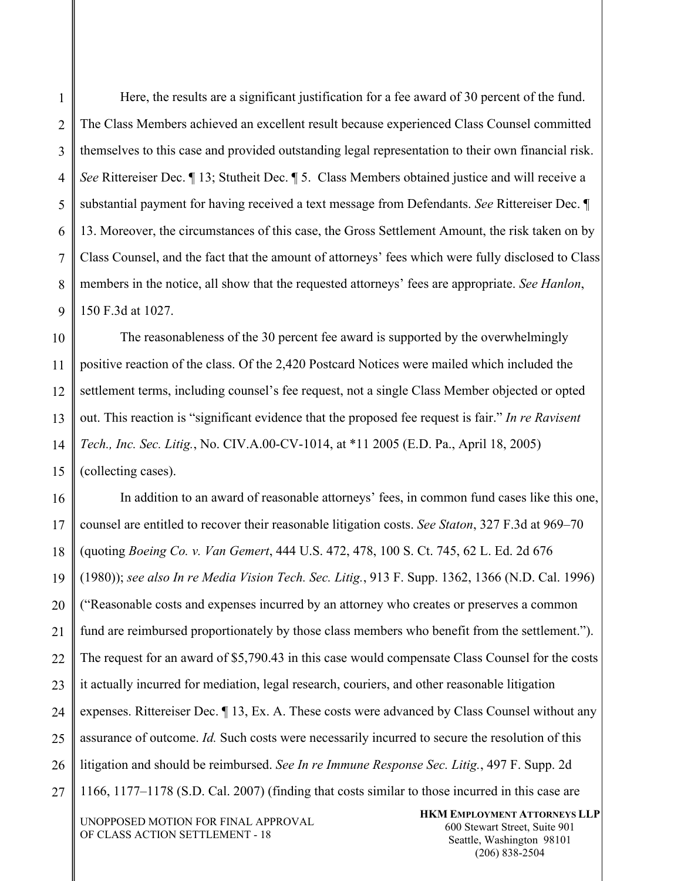1 2 3 Here, the results are a significant justification for a fee award of 30 percent of the fund. The Class Members achieved an excellent result because experienced Class Counsel committed themselves to this case and provided outstanding legal representation to their own financial risk. *See* Rittereiser Dec. ¶ 13; Stutheit Dec. ¶ 5. Class Members obtained justice and will receive a substantial payment for having received a text message from Defendants. *See* Rittereiser Dec. ¶ 13. Moreover, the circumstances of this case, the Gross Settlement Amount, the risk taken on by Class Counsel, and the fact that the amount of attorneys' fees which were fully disclosed to Class members in the notice, all show that the requested attorneys' fees are appropriate. *See Hanlon*, 150 F.3d at 1027.

The reasonableness of the 30 percent fee award is supported by the overwhelmingly positive reaction of the class. Of the 2,420 Postcard Notices were mailed which included the settlement terms, including counsel's fee request, not a single Class Member objected or opted out. This reaction is "significant evidence that the proposed fee request is fair." *In re Ravisent Tech., Inc. Sec. Litig.*, No. CIV.A.00-CV-1014, at \*11 2005 (E.D. Pa., April 18, 2005) (collecting cases).

In addition to an award of reasonable attorneys' fees, in common fund cases like this one, counsel are entitled to recover their reasonable litigation costs. *See Staton*, 327 F.3d at 969–70 (quoting *Boeing Co. v. Van Gemert*, 444 U.S. 472, 478, 100 S. Ct. 745, 62 L. Ed. 2d 676 (1980)); *see also In re Media Vision Tech. Sec. Litig.*, 913 F. Supp. 1362, 1366 (N.D. Cal. 1996) ("Reasonable costs and expenses incurred by an attorney who creates or preserves a common fund are reimbursed proportionately by those class members who benefit from the settlement."). The request for an award of \$5,790.43 in this case would compensate Class Counsel for the costs it actually incurred for mediation, legal research, couriers, and other reasonable litigation expenses. Rittereiser Dec. ¶ 13, Ex. A. These costs were advanced by Class Counsel without any assurance of outcome. *Id.* Such costs were necessarily incurred to secure the resolution of this litigation and should be reimbursed. *See In re Immune Response Sec. Litig.*, 497 F. Supp. 2d 1166, 1177–1178 (S.D. Cal. 2007) (finding that costs similar to those incurred in this case are

UNOPPOSED MOTION FOR FINAL APPROVAL OF CLASS ACTION SETTLEMENT - 18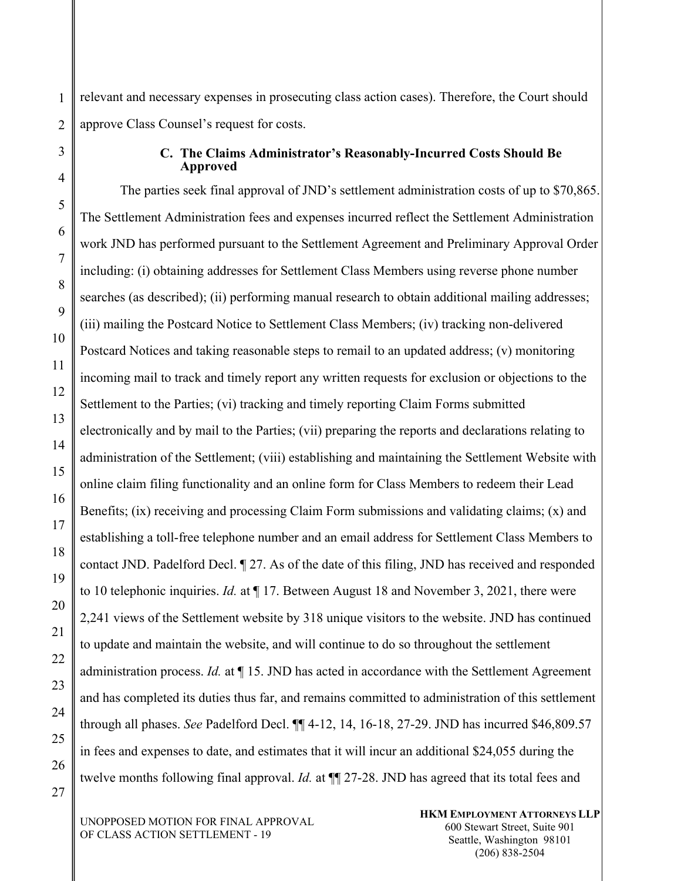relevant and necessary expenses in prosecuting class action cases). Therefore, the Court should approve Class Counsel's request for costs.

#### **C. The Claims Administrator's Reasonably-Incurred Costs Should Be Approved**

The parties seek final approval of JND's settlement administration costs of up to \$70,865. The Settlement Administration fees and expenses incurred reflect the Settlement Administration work JND has performed pursuant to the Settlement Agreement and Preliminary Approval Order including: (i) obtaining addresses for Settlement Class Members using reverse phone number searches (as described); (ii) performing manual research to obtain additional mailing addresses; (iii) mailing the Postcard Notice to Settlement Class Members; (iv) tracking non-delivered Postcard Notices and taking reasonable steps to remail to an updated address; (v) monitoring incoming mail to track and timely report any written requests for exclusion or objections to the Settlement to the Parties; (vi) tracking and timely reporting Claim Forms submitted electronically and by mail to the Parties; (vii) preparing the reports and declarations relating to administration of the Settlement; (viii) establishing and maintaining the Settlement Website with online claim filing functionality and an online form for Class Members to redeem their Lead Benefits; (ix) receiving and processing Claim Form submissions and validating claims; (x) and establishing a toll-free telephone number and an email address for Settlement Class Members to contact JND. Padelford Decl. ¶ 27. As of the date of this filing, JND has received and responded to 10 telephonic inquiries. *Id.* at ¶ 17. Between August 18 and November 3, 2021, there were 2,241 views of the Settlement website by 318 unique visitors to the website. JND has continued to update and maintain the website, and will continue to do so throughout the settlement administration process. *Id.* at ¶ 15. JND has acted in accordance with the Settlement Agreement and has completed its duties thus far, and remains committed to administration of this settlement through all phases. *See* Padelford Decl. ¶¶ 4-12, 14, 16-18, 27-29. JND has incurred \$46,809.57 in fees and expenses to date, and estimates that it will incur an additional \$24,055 during the twelve months following final approval. *Id.* at ¶¶ 27-28. JND has agreed that its total fees and

UNOPPOSED MOTION FOR FINAL APPROVAL OF CLASS ACTION SETTLEMENT - 19

**HKM EMPLOYMENT ATTORNEYS LLP**  600 Stewart Street, Suite 901 Seattle, Washington 98101 (206) 838-2504

1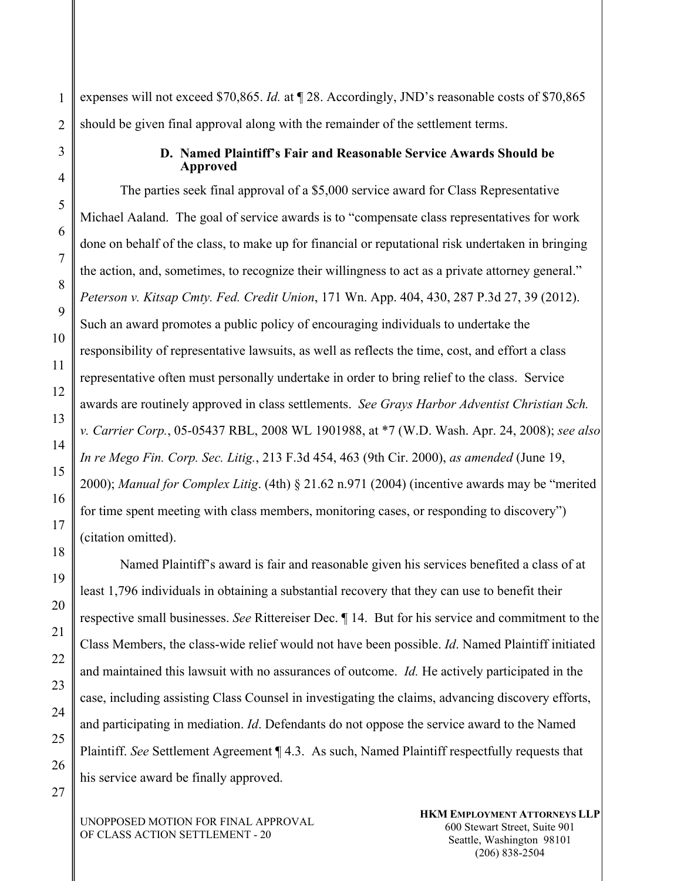1 expenses will not exceed \$70,865. *Id.* at  $\P$  28. Accordingly, JND's reasonable costs of \$70,865 should be given final approval along with the remainder of the settlement terms.

#### **D. Named Plaintiff's Fair and Reasonable Service Awards Should be Approved**

The parties seek final approval of a \$5,000 service award for Class Representative Michael Aaland. The goal of service awards is to "compensate class representatives for work done on behalf of the class, to make up for financial or reputational risk undertaken in bringing the action, and, sometimes, to recognize their willingness to act as a private attorney general." *Peterson v. Kitsap Cmty. Fed. Credit Union*, 171 Wn. App. 404, 430, 287 P.3d 27, 39 (2012). Such an award promotes a public policy of encouraging individuals to undertake the responsibility of representative lawsuits, as well as reflects the time, cost, and effort a class representative often must personally undertake in order to bring relief to the class. Service awards are routinely approved in class settlements. *See Grays Harbor Adventist Christian Sch. v. Carrier Corp.*, 05-05437 RBL, 2008 WL 1901988, at \*7 (W.D. Wash. Apr. 24, 2008); *see also In re Mego Fin. Corp. Sec. Litig.*, 213 F.3d 454, 463 (9th Cir. 2000), *as amended* (June 19, 2000); *Manual for Complex Litig*. (4th) § 21.62 n.971 (2004) (incentive awards may be "merited for time spent meeting with class members, monitoring cases, or responding to discovery") (citation omitted).

Named Plaintiff's award is fair and reasonable given his services benefited a class of at least 1,796 individuals in obtaining a substantial recovery that they can use to benefit their respective small businesses. *See* Rittereiser Dec. ¶ 14. But for his service and commitment to the Class Members, the class-wide relief would not have been possible. *Id*. Named Plaintiff initiated and maintained this lawsuit with no assurances of outcome. *Id.* He actively participated in the case, including assisting Class Counsel in investigating the claims, advancing discovery efforts, and participating in mediation. *Id*. Defendants do not oppose the service award to the Named Plaintiff. *See* Settlement Agreement ¶ 4.3. As such, Named Plaintiff respectfully requests that his service award be finally approved.

UNOPPOSED MOTION FOR FINAL APPROVAL OF CLASS ACTION SETTLEMENT - 20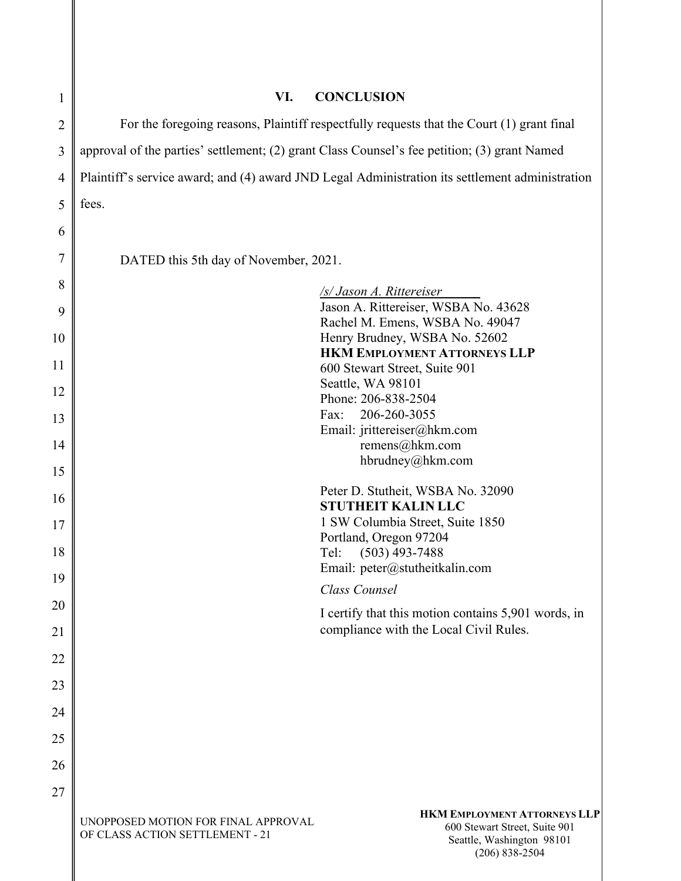| 1              | VI.                                                                                             | <b>CONCLUSION</b>                                                                                                       |  |
|----------------|-------------------------------------------------------------------------------------------------|-------------------------------------------------------------------------------------------------------------------------|--|
| $\overline{2}$ | For the foregoing reasons, Plaintiff respectfully requests that the Court (1) grant final       |                                                                                                                         |  |
| 3              | approval of the parties' settlement; (2) grant Class Counsel's fee petition; (3) grant Named    |                                                                                                                         |  |
| 4              | Plaintiff's service award; and (4) award JND Legal Administration its settlement administration |                                                                                                                         |  |
| 5              | fees.                                                                                           |                                                                                                                         |  |
| 6              |                                                                                                 |                                                                                                                         |  |
| 7              | DATED this 5th day of November, 2021.                                                           |                                                                                                                         |  |
| 8              |                                                                                                 |                                                                                                                         |  |
| 9              |                                                                                                 | /s/ Jason A. Rittereiser<br>Jason A. Rittereiser, WSBA No. 43628                                                        |  |
| 10             |                                                                                                 | Rachel M. Emens, WSBA No. 49047<br>Henry Brudney, WSBA No. 52602                                                        |  |
| 11             |                                                                                                 | <b>HKM EMPLOYMENT ATTORNEYS LLP</b><br>600 Stewart Street, Suite 901                                                    |  |
| 12             |                                                                                                 | Seattle, WA 98101<br>Phone: 206-838-2504                                                                                |  |
| 13             |                                                                                                 | Fax:<br>206-260-3055                                                                                                    |  |
| 14             |                                                                                                 | Email: jrittereiser@hkm.com<br>remens@hkm.com                                                                           |  |
| 15             |                                                                                                 | hbrudney@hkm.com                                                                                                        |  |
| 16             |                                                                                                 | Peter D. Stutheit, WSBA No. 32090<br><b>STUTHEIT KALIN LLC</b>                                                          |  |
| 17             |                                                                                                 | 1 SW Columbia Street, Suite 1850                                                                                        |  |
| 18             |                                                                                                 | Portland, Oregon 97204<br>$(503)$ 493-7488<br>Tel:                                                                      |  |
| 19             |                                                                                                 | Email: peter@stutheitkalin.com                                                                                          |  |
| 20             |                                                                                                 | Class Counsel<br>I certify that this motion contains 5,901 words, in                                                    |  |
| 21             |                                                                                                 | compliance with the Local Civil Rules.                                                                                  |  |
| 22             |                                                                                                 |                                                                                                                         |  |
| 23             |                                                                                                 |                                                                                                                         |  |
| 24             |                                                                                                 |                                                                                                                         |  |
| 25             |                                                                                                 |                                                                                                                         |  |
| 26             |                                                                                                 |                                                                                                                         |  |
| 27             |                                                                                                 |                                                                                                                         |  |
|                | UNOPPOSED MOTION FOR FINAL APPROVAL<br>OF CLASS ACTION SETTLEMENT - 21                          | <b>HKM EMPLOYMENT ATTORNEYS LLP</b><br>600 Stewart Street, Suite 901<br>Seattle, Washington 98101<br>$(206) 838 - 2504$ |  |

I